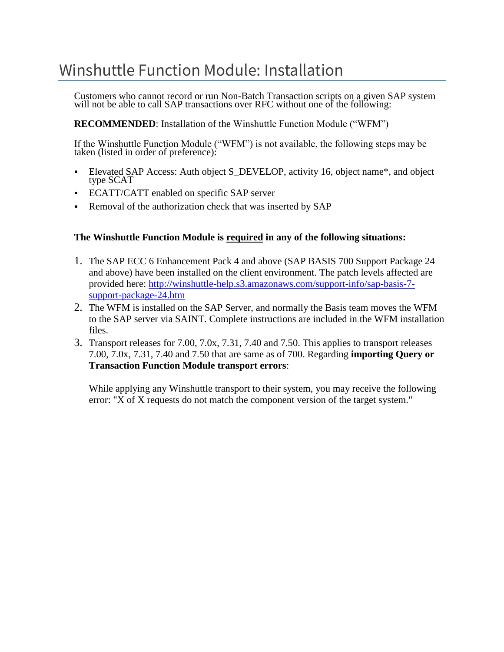# Winshuttle Function Module: Installation

Customers who cannot record or run Non-Batch Transaction scripts on a given SAP system will not be able to call SAP transactions over RFC without one of the following:

**RECOMMENDED**: Installation of the Winshuttle Function Module ("WFM")

If the Winshuttle Function Module ("WFM") is not available, the following steps may be taken (listed in order of preference):

- Elevated SAP Access: Auth object S\_DEVELOP, activity 16, object name\*, and object type SCAT
- **ECATT/CATT enabled on specific SAP server**
- **Removal of the authorization check that was inserted by SAP**

#### **The Winshuttle Function Module is required in any of the following situations:**

- 1. The SAP ECC 6 Enhancement Pack 4 and above (SAP BASIS 700 Support Package 24 and above) have been installed on the client environment. The patch levels affected are provided here: [http://winshuttle-help.s3.amazonaws.com/support-info/sap-basis-7](http://winshuttle-help.s3.amazonaws.com/support-info/sap-basis-7-support-package-24.htm) [support-package-24.htm](http://winshuttle-help.s3.amazonaws.com/support-info/sap-basis-7-support-package-24.htm)
- 2. The WFM is installed on the SAP Server, and normally the Basis team moves the WFM to the SAP server via SAINT. Complete instructions are included in the WFM installation files.
- 3. Transport releases for 7.00, 7.0x, 7.31, 7.40 and 7.50. This applies to transport releases 7.00, 7.0x, 7.31, 7.40 and 7.50 that are same as of 700. Regarding **importing Query or Transaction Function Module transport errors**:

While applying any Winshuttle transport to their system, you may receive the following error: "X of X requests do not match the component version of the target system."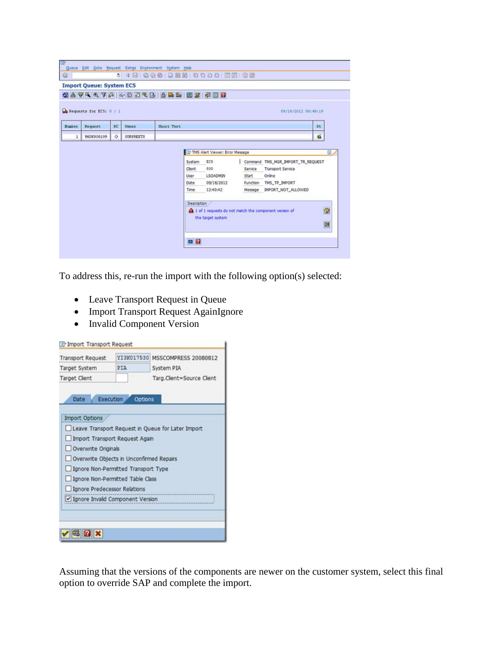|               | <b>Import Queue: System EC5</b>  |            |                  | 0874474403488555558                                                                                                                                                                    |   |
|---------------|----------------------------------|------------|------------------|----------------------------------------------------------------------------------------------------------------------------------------------------------------------------------------|---|
|               | $\Box$ Requests for ECS: $0 / 1$ |            |                  | 09/18/2012 08:49:19                                                                                                                                                                    |   |
| <b>Number</b> | RC<br>Request<br>Owner           |            |                  | Short Text                                                                                                                                                                             |   |
| $\mathbf 1$   | W6DK900199                       | $\Diamond$ | <b>GURPREETS</b> | 瀶                                                                                                                                                                                      |   |
|               |                                  |            |                  | TMS Alert Viewer: Error Message<br>Command TMS_MGR_IMPORT_TR_REQUEST<br>EC5<br>System                                                                                                  | 回 |
|               |                                  |            |                  | Clent:<br>800<br>Service<br>Transport Service<br>Online<br>User<br>LSOADMIN<br>Start<br>09/18/2012<br>Function TMS_TP_IMPORT<br>Date<br>12:40:42<br>Message IMPORT_NOT_ALLOWED<br>Time |   |

To address this, re-run the import with the following option(s) selected:

- Leave Transport Request in Queue
- Import Transport Request AgainIgnore
- Invalid Component Version

| <b>Transport Request</b>                 | YI3K017530 | MSSCOMPRESS 20080812<br>System PIA<br>Targ.Client=Source Client |
|------------------------------------------|------------|-----------------------------------------------------------------|
| Target System                            | PIA        |                                                                 |
| <b>Target Client</b>                     |            |                                                                 |
| Execution<br>Date                        | Options    |                                                                 |
| <b>Import Options</b>                    |            |                                                                 |
|                                          |            | Leave Transport Request in Queue for Later Import               |
| Import Transport Request Again           |            |                                                                 |
| Overwrite Originals                      |            |                                                                 |
| Overwrite Objects in Unconfirmed Repairs |            |                                                                 |
|                                          |            |                                                                 |
| Ignore Non-Permitted Transport Type      |            |                                                                 |
| Ignore Non-Permitted Table Class         |            |                                                                 |
| Ignore Predecessor Relations             |            |                                                                 |
| Ignore Invalid Component Version         |            |                                                                 |
|                                          |            |                                                                 |
|                                          |            |                                                                 |

Assuming that the versions of the components are newer on the customer system, select this final option to override SAP and complete the import.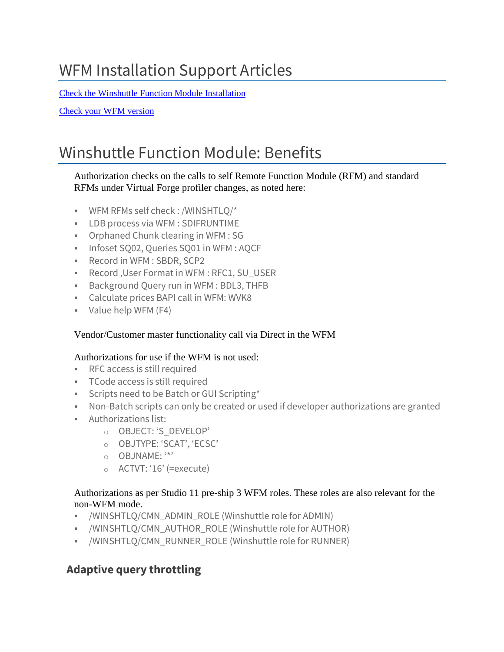# WFM Installation Support Articles

Check [the Winshuttle Function Module Installation](https://support.winshuttle.com/hc/en-us/articles/360023445032-How-to-check-the-Winshuttle-Function-Module-Installation)

Check your [WFM version](https://support.winshuttle.com/hc/en-us/articles/360023686291-How-to-check-SAP-Basis-Kernel-Information-or-Winshuttle-Function-Module-versions)

# Winshuttle Function Module: Benefits

#### Authorization checks on the calls to self Remote Function Module (RFM) and standard RFMs under Virtual Forge profiler changes, as noted here:

- WFM RFMs self check : /WINSHTLQ/\*
- LDB process via WFM : SDIFRUNTIME
- Orphaned Chunk clearing in WFM : SG
- **Infoset SO02, Queries SO01 in WFM: AOCF**
- Record in WFM : SBDR, SCP2
- Record , User Format in WFM : RFC1, SU\_USER
- Background Query run in WFM : BDL3, THFB
- Calculate prices BAPI call in WFM: WVK8
- Value help WFM (F4)

#### Vendor/Customer master functionality call via Direct in the WFM

#### Authorizations for use if the WFM is not used:

- RFC access is still required
- TCode access is still required
- **EXECT:** Scripts need to be Batch or GUI Scripting\*
- Non-Batch scripts can only be created or used if developer authorizations are granted
- Authorizations list:
	- o OBJECT: 'S\_DEVELOP'
	- o OBJTYPE: 'SCAT', 'ECSC'
	- o OBJNAME: '\*'
	- o ACTVT: '16' (=execute)

#### Authorizations as per Studio 11 pre-ship 3 WFM roles. These roles are also relevant for the non-WFM mode.

- /WINSHTLQ/CMN\_ADMIN\_ROLE (Winshuttle role for ADMIN)
- /WINSHTLO/CMN\_AUTHOR\_ROLE (Winshuttle role for AUTHOR)
- /WINSHTLQ/CMN\_RUNNER\_ROLE (Winshuttle role for RUNNER)

## **Adaptive query throttling**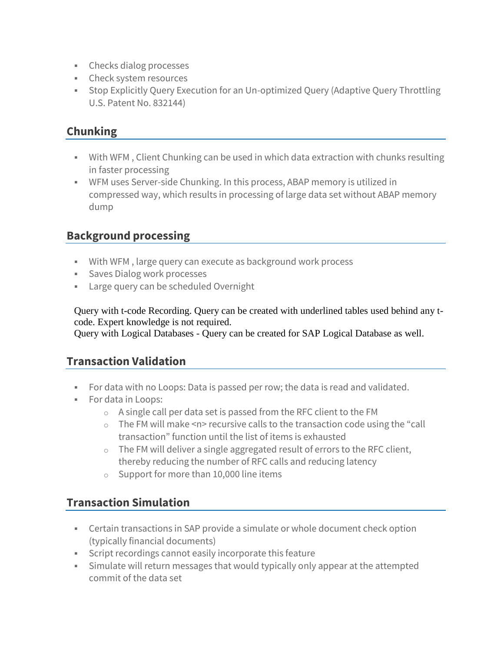- Checks dialog processes
- Check system resources
- **Stop Explicitly Query Execution for an Un-optimized Query (Adaptive Query Throttling** U.S. Patent No. 832144)

## **Chunking**

- With WFM, Client Chunking can be used in which data extraction with chunks resulting in faster processing
- **WFM uses Server-side Chunking. In this process, ABAP memory is utilized in** compressed way, which results in processing of large data set without ABAP memory dump

### **Background processing**

- With WFM , large query can execute as background work process
- Saves Dialog work processes
- **EXEC** Large query can be scheduled Overnight

Query with t-code Recording. Query can be created with underlined tables used behind any tcode. Expert knowledge is not required.

Query with Logical Databases - Query can be created for SAP Logical Database as well.

## **Transaction Validation**

- For data with no Loops: Data is passed per row; the data is read and validated.
- For data in Loops:
	- o A single call per data set is passed from the RFC client to the FM
	- $\circ$  The FM will make <n> recursive calls to the transaction code using the "call" transaction" function until the list of items is exhausted
	- $\circ$  The FM will deliver a single aggregated result of errors to the RFC client, thereby reducing the number of RFC calls and reducing latency
	- o Support for more than 10,000 line items

#### **Transaction Simulation**

- **•** Certain transactions in SAP provide a simulate or whole document check option (typically financial documents)
- **EXECT:** Script recordings cannot easily incorporate this feature
- **EXEDED FIGHTS SIMULATE Will return messages that would typically only appear at the attempted** commit of the data set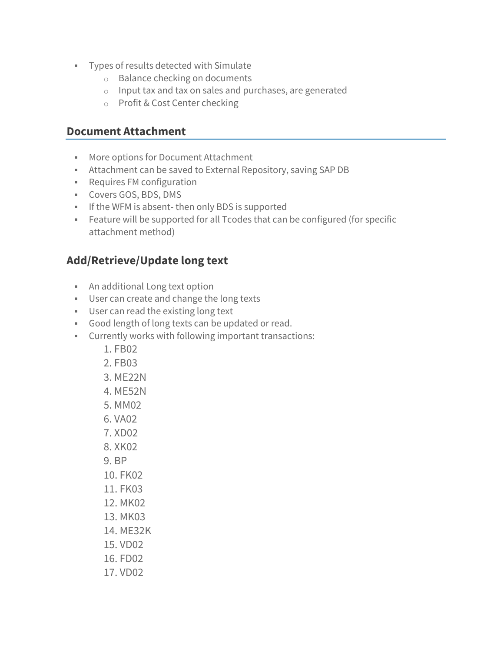- Types of results detected with Simulate
	- o Balance checking on documents
	- o Input tax and tax on sales and purchases, are generated
	- o Profit & Cost Center checking

#### **Document Attachment**

- More options for Document Attachment
- **EXECO Attachment can be saved to External Repository, saving SAP DB**
- Requires FM configuration
- Covers GOS, BDS, DMS
- **.** If the WFM is absent-then only BDS is supported
- **EXECT** Feature will be supported for all Tcodes that can be configured (for specific attachment method)

## **Add/Retrieve/Update long text**

- An additional Long text option
- **■** User can create and change the long texts
- **■** User can read the existing long text
- Good length of long texts can be updated or read.
- Currently works with following important transactions:
	- 1. FB02
	- 2. FB03
	- 3. ME22N
	- 4. ME52N
	- 5. MM02
	- 6. VA02
	- 7. XD02
	- 8. XK02
	-
	- 9. BP
	- 10. FK02
	- 11. FK03
	- 12. MK02
	- 13. MK03
	- 14. ME32K
	- 15. VD02
	- 16. FD02
	- 17. VD02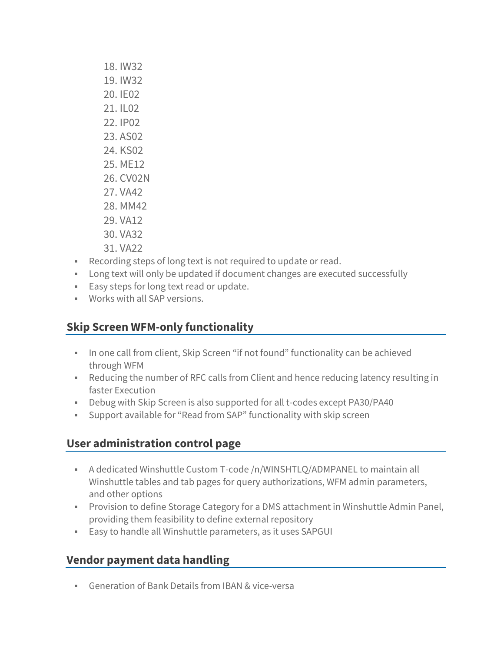- 18. IW32 19. IW32 20. IE02 21. IL02 22. IP02 23. AS02 24. KS02 25. ME12 26. CV02N
- 27. VA42
- 28. MM42
- 29. VA12
- 30. VA32
- 31. VA22
- Recording steps of long text is not required to update or read.
- Long text will only be updated if document changes are executed successfully
- Easy steps for long text read or update.
- Works with all SAP versions.

## **Skip Screen WFM-only functionality**

- **.** In one call from client, Skip Screen "if not found" functionality can be achieved through WFM
- Reducing the number of RFC calls from Client and hence reducing latency resulting in faster Execution
- Debug with Skip Screen is also supported for all t-codes except PA30/PA40
- Support available for "Read from SAP" functionality with skip screen

# **User administration control page**

- A dedicated Winshuttle Custom T-code /n/WINSHTLQ/ADMPANEL to maintain all Winshuttle tables and tab pages for query authorizations, WFM admin parameters, and other options
- **Provision to define Storage Category for a DMS attachment in Winshuttle Admin Panel,** providing them feasibility to define external repository
- Easy to handle all Winshuttle parameters, as it uses SAPGUI

# **Vendor payment data handling**

**• Generation of Bank Details from IBAN & vice-versa**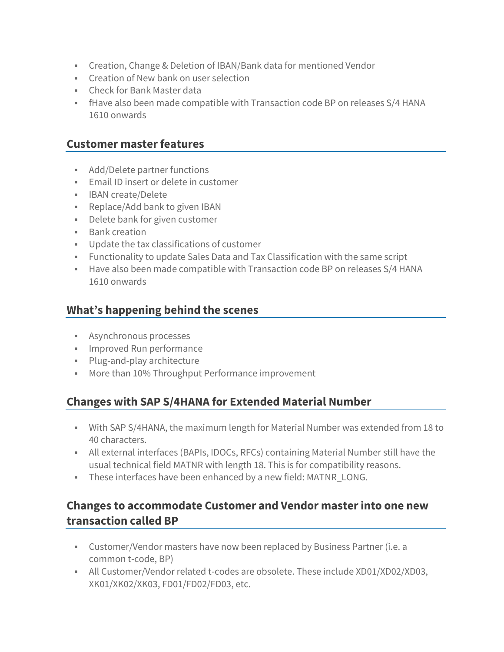- **EXECT** Creation, Change & Deletion of IBAN/Bank data for mentioned Vendor
- Creation of New bank on user selection
- Check for Bank Master data
- **EXECT** fHave also been made compatible with Transaction code BP on releases S/4 HANA 1610 onwards

#### **Customer master features**

- Add/Delete partner functions
- **Email ID insert or delete in customer**
- IBAN create/Delete
- Replace/Add bank to given IBAN
- **•** Delete bank for given customer
- Bank creation
- Update the tax classifications of customer
- Functionality to update Sales Data and Tax Classification with the same script
- Have also been made compatible with Transaction code BP on releases S/4 HANA 1610 onwards

#### **What's happening behind the scenes**

- **EXECUTE:** Asynchronous processes
- **·** Improved Run performance
- Plug-and-play architecture
- More than 10% Throughput Performance improvement

#### **Changes with SAP S/4HANA for Extended Material Number**

- With SAP S/4HANA, the maximum length for Material Number was extended from 18 to 40 characters.
- **EXECT** All external interfaces (BAPIs, IDOCs, RFCs) containing Material Number still have the usual technical field MATNR with length 18. This is for compatibility reasons.
- **EXECT** These interfaces have been enhanced by a new field: MATNR\_LONG.

### **Changes to accommodate Customer and Vendor master into one new transaction called BP**

- Customer/Vendor masters have now been replaced by Business Partner (i.e. a common t-code, BP)
- All Customer/Vendor related t-codes are obsolete. These include XD01/XD02/XD03, XK01/XK02/XK03, FD01/FD02/FD03, etc.